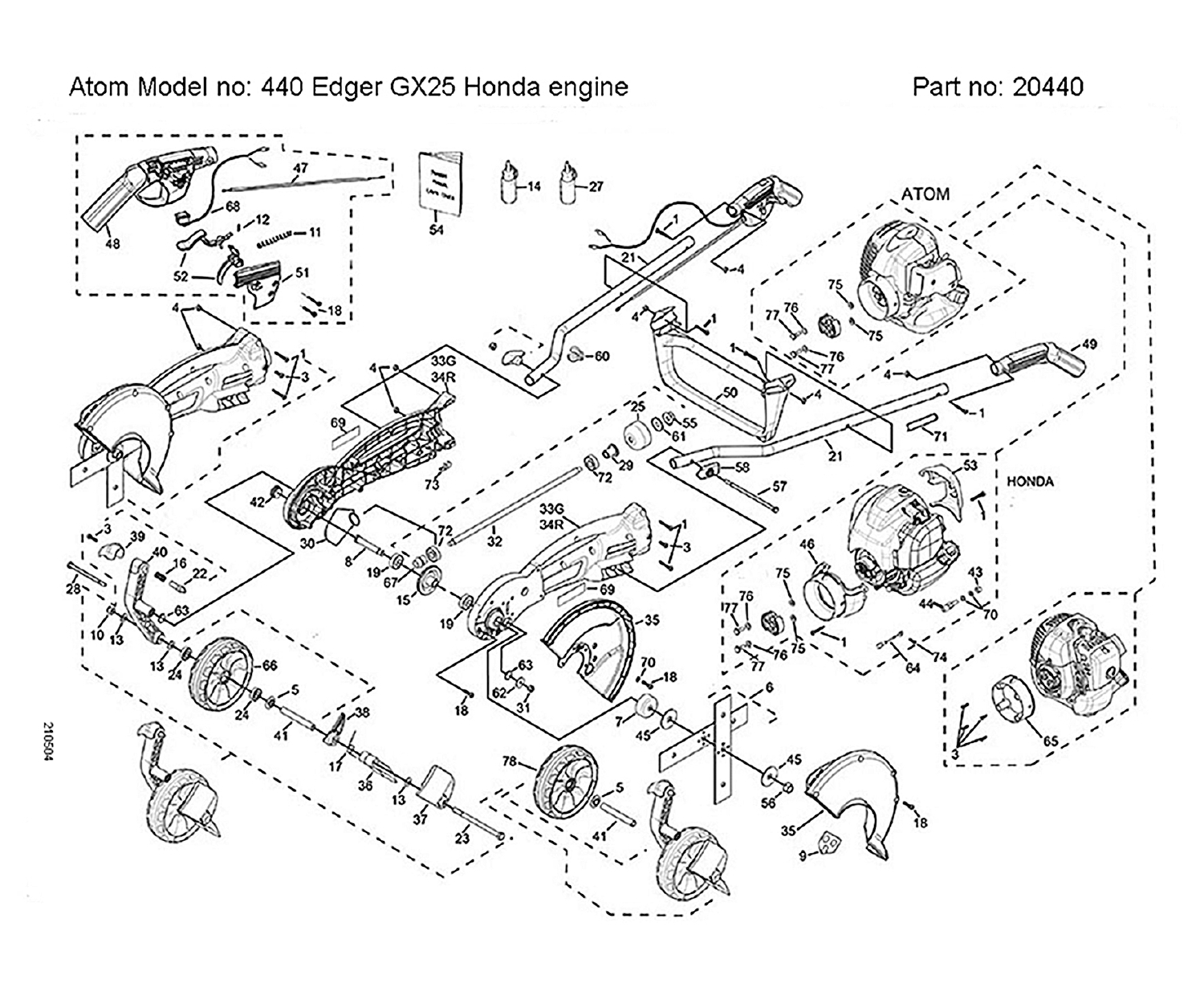Atom Model no: 440 Edger GX25 Honda engine

Part no: 20440